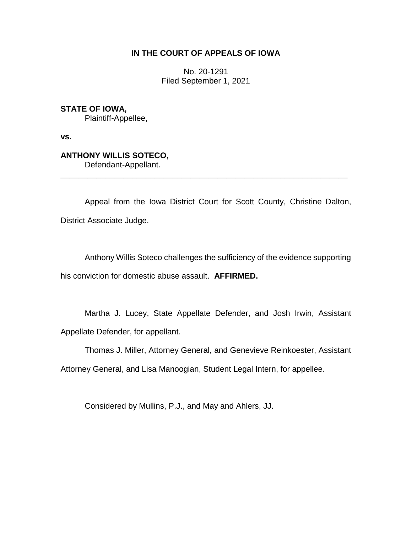## **IN THE COURT OF APPEALS OF IOWA**

No. 20-1291 Filed September 1, 2021

**STATE OF IOWA,** Plaintiff-Appellee,

**vs.**

## **ANTHONY WILLIS SOTECO,** Defendant-Appellant.

\_\_\_\_\_\_\_\_\_\_\_\_\_\_\_\_\_\_\_\_\_\_\_\_\_\_\_\_\_\_\_\_\_\_\_\_\_\_\_\_\_\_\_\_\_\_\_\_\_\_\_\_\_\_\_\_\_\_\_\_\_\_\_\_

Appeal from the Iowa District Court for Scott County, Christine Dalton, District Associate Judge.

Anthony Willis Soteco challenges the sufficiency of the evidence supporting his conviction for domestic abuse assault. **AFFIRMED.**

Martha J. Lucey, State Appellate Defender, and Josh Irwin, Assistant Appellate Defender, for appellant.

Thomas J. Miller, Attorney General, and Genevieve Reinkoester, Assistant

Attorney General, and Lisa Manoogian, Student Legal Intern, for appellee.

Considered by Mullins, P.J., and May and Ahlers, JJ.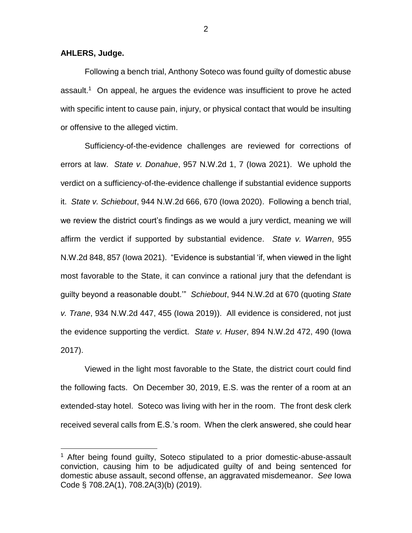**AHLERS, Judge.**

 $\overline{a}$ 

Following a bench trial, Anthony Soteco was found guilty of domestic abuse assault.<sup>1</sup> On appeal, he argues the evidence was insufficient to prove he acted with specific intent to cause pain, injury, or physical contact that would be insulting or offensive to the alleged victim.

Sufficiency-of-the-evidence challenges are reviewed for corrections of errors at law. *State v. Donahue*, 957 N.W.2d 1, 7 (Iowa 2021). We uphold the verdict on a sufficiency-of-the-evidence challenge if substantial evidence supports it. *State v. Schiebout*, 944 N.W.2d 666, 670 (Iowa 2020). Following a bench trial, we review the district court's findings as we would a jury verdict, meaning we will affirm the verdict if supported by substantial evidence. *State v. Warren*, 955 N.W.2d 848, 857 (Iowa 2021). "Evidence is substantial 'if, when viewed in the light most favorable to the State, it can convince a rational jury that the defendant is guilty beyond a reasonable doubt.'" *Schiebout*, 944 N.W.2d at 670 (quoting *State v. Trane*, 934 N.W.2d 447, 455 (Iowa 2019)). All evidence is considered, not just the evidence supporting the verdict. *State v. Huser*, 894 N.W.2d 472, 490 (Iowa 2017).

Viewed in the light most favorable to the State, the district court could find the following facts. On December 30, 2019, E.S. was the renter of a room at an extended-stay hotel. Soteco was living with her in the room. The front desk clerk received several calls from E.S.'s room. When the clerk answered, she could hear

2

<sup>&</sup>lt;sup>1</sup> After being found guilty, Soteco stipulated to a prior domestic-abuse-assault conviction, causing him to be adjudicated guilty of and being sentenced for domestic abuse assault, second offense, an aggravated misdemeanor. *See* Iowa Code § 708.2A(1), 708.2A(3)(b) (2019).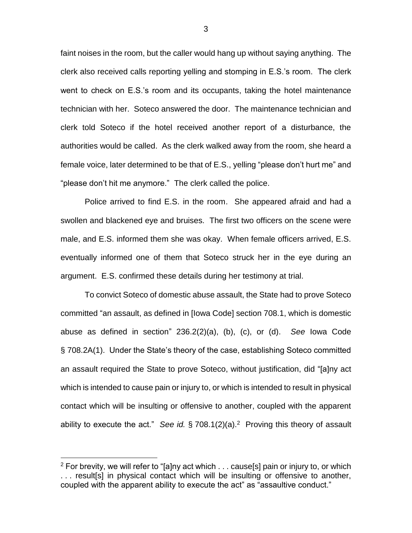faint noises in the room, but the caller would hang up without saying anything. The clerk also received calls reporting yelling and stomping in E.S.'s room. The clerk went to check on E.S.'s room and its occupants, taking the hotel maintenance technician with her. Soteco answered the door. The maintenance technician and clerk told Soteco if the hotel received another report of a disturbance, the authorities would be called. As the clerk walked away from the room, she heard a female voice, later determined to be that of E.S., yelling "please don't hurt me" and "please don't hit me anymore." The clerk called the police.

Police arrived to find E.S. in the room. She appeared afraid and had a swollen and blackened eye and bruises. The first two officers on the scene were male, and E.S. informed them she was okay. When female officers arrived, E.S. eventually informed one of them that Soteco struck her in the eye during an argument. E.S. confirmed these details during her testimony at trial.

To convict Soteco of domestic abuse assault, the State had to prove Soteco committed "an assault, as defined in [Iowa Code] section 708.1, which is domestic abuse as defined in section" 236.2(2)(a), (b), (c), or (d). *See* Iowa Code § 708.2A(1). Under the State's theory of the case, establishing Soteco committed an assault required the State to prove Soteco, without justification, did "[a]ny act which is intended to cause pain or injury to, or which is intended to result in physical contact which will be insulting or offensive to another, coupled with the apparent ability to execute the act." *See id.* § 708.1(2)(a).<sup>2</sup> Proving this theory of assault

 $\overline{a}$ 

<sup>&</sup>lt;sup>2</sup> For brevity, we will refer to "[a]ny act which  $\ldots$  cause[s] pain or injury to, or which . . . result[s] in physical contact which will be insulting or offensive to another, coupled with the apparent ability to execute the act" as "assaultive conduct."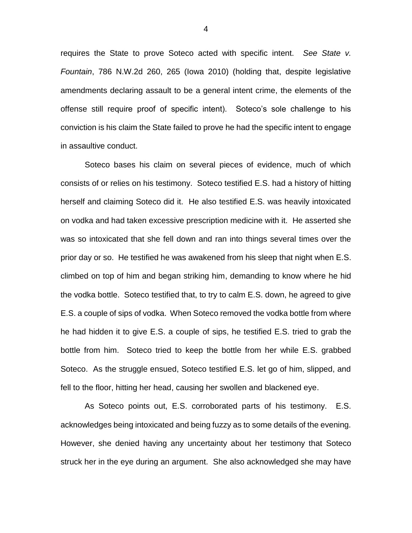requires the State to prove Soteco acted with specific intent. *See State v. Fountain*, 786 N.W.2d 260, 265 (Iowa 2010) (holding that, despite legislative amendments declaring assault to be a general intent crime, the elements of the offense still require proof of specific intent). Soteco's sole challenge to his conviction is his claim the State failed to prove he had the specific intent to engage in assaultive conduct.

Soteco bases his claim on several pieces of evidence, much of which consists of or relies on his testimony. Soteco testified E.S. had a history of hitting herself and claiming Soteco did it. He also testified E.S. was heavily intoxicated on vodka and had taken excessive prescription medicine with it. He asserted she was so intoxicated that she fell down and ran into things several times over the prior day or so. He testified he was awakened from his sleep that night when E.S. climbed on top of him and began striking him, demanding to know where he hid the vodka bottle. Soteco testified that, to try to calm E.S. down, he agreed to give E.S. a couple of sips of vodka. When Soteco removed the vodka bottle from where he had hidden it to give E.S. a couple of sips, he testified E.S. tried to grab the bottle from him. Soteco tried to keep the bottle from her while E.S. grabbed Soteco. As the struggle ensued, Soteco testified E.S. let go of him, slipped, and fell to the floor, hitting her head, causing her swollen and blackened eye.

As Soteco points out, E.S. corroborated parts of his testimony. E.S. acknowledges being intoxicated and being fuzzy as to some details of the evening. However, she denied having any uncertainty about her testimony that Soteco struck her in the eye during an argument. She also acknowledged she may have

4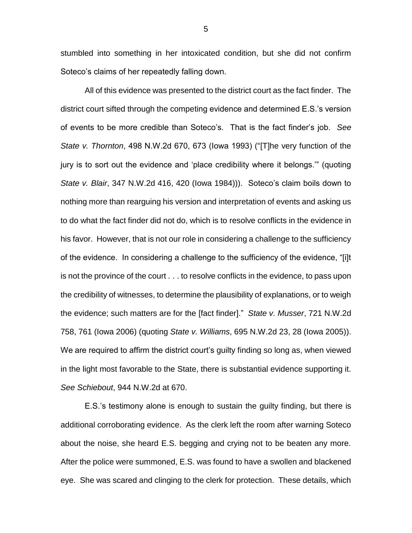stumbled into something in her intoxicated condition, but she did not confirm Soteco's claims of her repeatedly falling down.

All of this evidence was presented to the district court as the fact finder. The district court sifted through the competing evidence and determined E.S.'s version of events to be more credible than Soteco's. That is the fact finder's job. *See State v. Thornton*, 498 N.W.2d 670, 673 (Iowa 1993) ("[T]he very function of the jury is to sort out the evidence and 'place credibility where it belongs.'" (quoting *State v. Blair*, 347 N.W.2d 416, 420 (Iowa 1984))). Soteco's claim boils down to nothing more than rearguing his version and interpretation of events and asking us to do what the fact finder did not do, which is to resolve conflicts in the evidence in his favor. However, that is not our role in considering a challenge to the sufficiency of the evidence. In considering a challenge to the sufficiency of the evidence, "[i]t is not the province of the court . . . to resolve conflicts in the evidence, to pass upon the credibility of witnesses, to determine the plausibility of explanations, or to weigh the evidence; such matters are for the [fact finder]." *State v. Musser*, 721 N.W.2d 758, 761 (Iowa 2006) (quoting *State v. Williams*, 695 N.W.2d 23, 28 (Iowa 2005)). We are required to affirm the district court's guilty finding so long as, when viewed in the light most favorable to the State, there is substantial evidence supporting it. *See Schiebout*, 944 N.W.2d at 670.

E.S.'s testimony alone is enough to sustain the guilty finding, but there is additional corroborating evidence. As the clerk left the room after warning Soteco about the noise, she heard E.S. begging and crying not to be beaten any more. After the police were summoned, E.S. was found to have a swollen and blackened eye. She was scared and clinging to the clerk for protection. These details, which

5